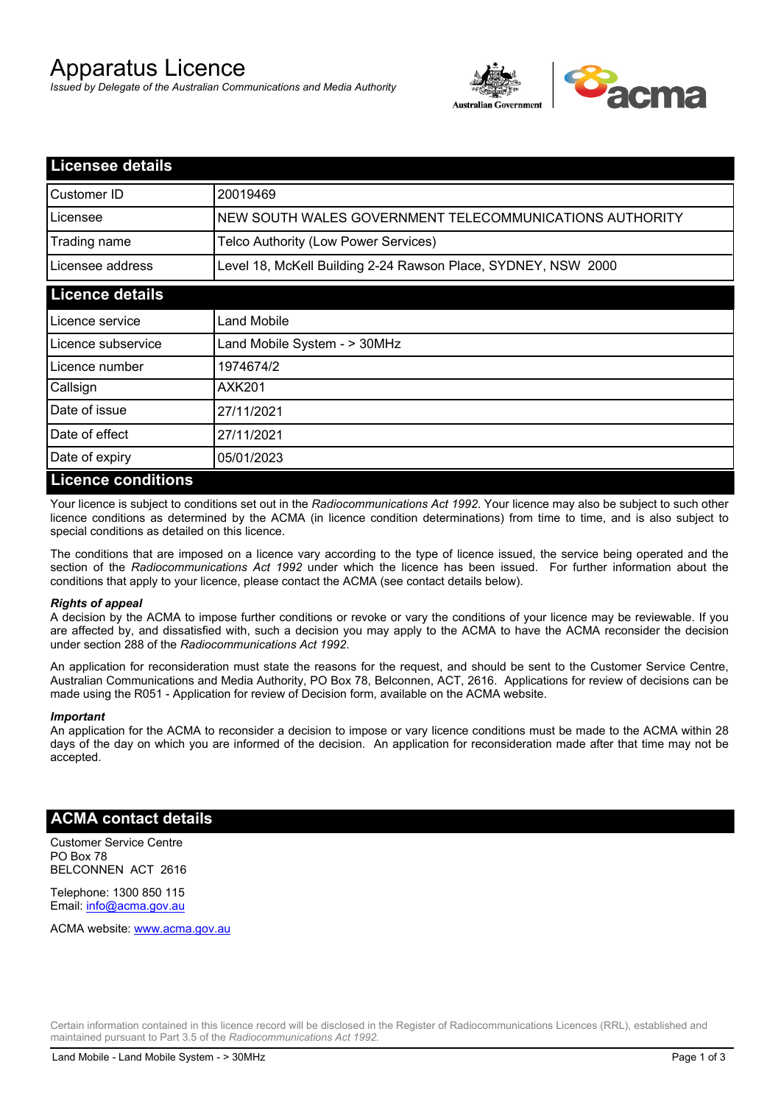# Apparatus Licence

*Issued by Delegate of the Australian Communications and Media Authority*



| <b>Licensee details</b> |                                                               |  |  |
|-------------------------|---------------------------------------------------------------|--|--|
| Customer ID             | 20019469                                                      |  |  |
| Licensee                | NEW SOUTH WALES GOVERNMENT TELECOMMUNICATIONS AUTHORITY       |  |  |
| Trading name            | Telco Authority (Low Power Services)                          |  |  |
| Licensee address        | Level 18, McKell Building 2-24 Rawson Place, SYDNEY, NSW 2000 |  |  |
| <b>Licence details</b>  |                                                               |  |  |
| Licence service         | Land Mobile                                                   |  |  |
| Licence subservice      | Land Mobile System - > 30MHz                                  |  |  |
| Licence number          | 1974674/2                                                     |  |  |
| Callsign                | AXK201                                                        |  |  |
| Date of issue           | 27/11/2021                                                    |  |  |
| Date of effect          | 27/11/2021                                                    |  |  |
| Date of expiry          | 05/01/2023                                                    |  |  |
| Licence conditions      |                                                               |  |  |

## **Licence conditions**

Your licence is subject to conditions set out in the *Radiocommunications Act 1992*. Your licence may also be subject to such other licence conditions as determined by the ACMA (in licence condition determinations) from time to time, and is also subject to special conditions as detailed on this licence.

The conditions that are imposed on a licence vary according to the type of licence issued, the service being operated and the section of the *Radiocommunications Act 1992* under which the licence has been issued. For further information about the conditions that apply to your licence, please contact the ACMA (see contact details below).

#### *Rights of appeal*

A decision by the ACMA to impose further conditions or revoke or vary the conditions of your licence may be reviewable. If you are affected by, and dissatisfied with, such a decision you may apply to the ACMA to have the ACMA reconsider the decision under section 288 of the *Radiocommunications Act 1992*.

An application for reconsideration must state the reasons for the request, and should be sent to the Customer Service Centre, Australian Communications and Media Authority, PO Box 78, Belconnen, ACT, 2616. Applications for review of decisions can be made using the R051 - Application for review of Decision form, available on the ACMA website.

#### *Important*

An application for the ACMA to reconsider a decision to impose or vary licence conditions must be made to the ACMA within 28 days of the day on which you are informed of the decision. An application for reconsideration made after that time may not be accepted.

#### **ACMA contact details**

Customer Service Centre PO Box 78 BELCONNEN ACT 2616

Telephone: 1300 850 115 Email: info@acma.gov.au

ACMA website: www.acma.gov.au

Certain information contained in this licence record will be disclosed in the Register of Radiocommunications Licences (RRL), established and maintained pursuant to Part 3.5 of the *Radiocommunications Act 1992.*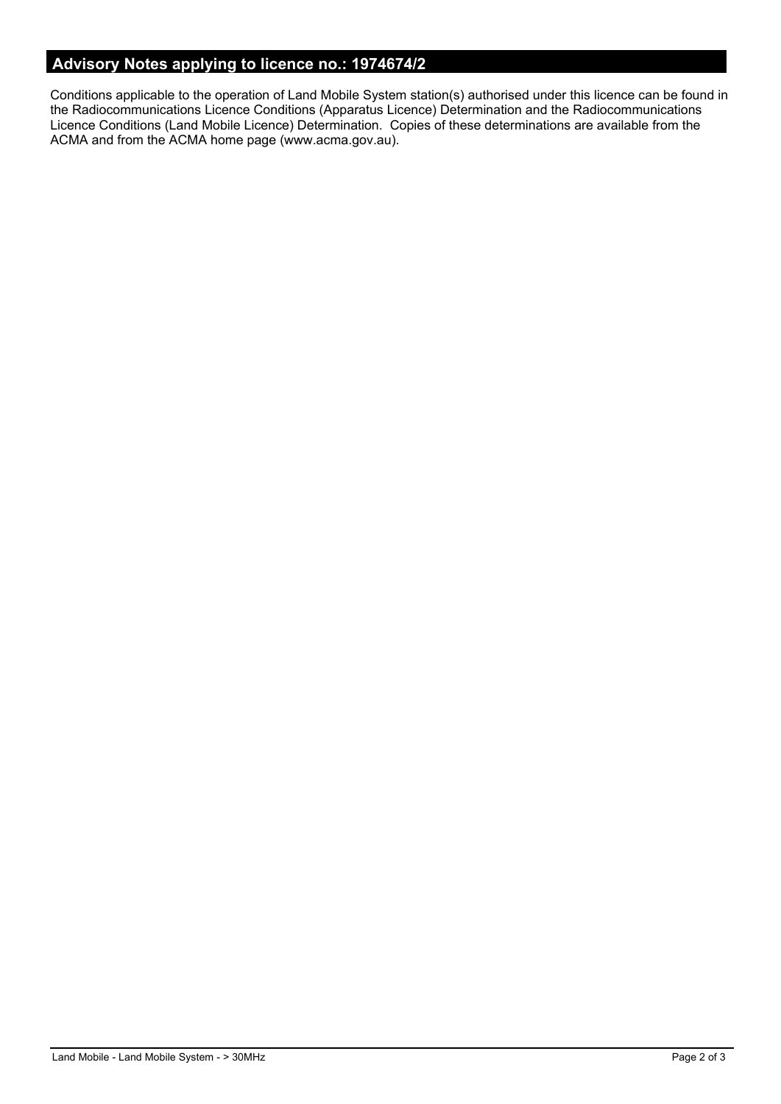# **Advisory Notes applying to licence no.: 1974674/2**

Conditions applicable to the operation of Land Mobile System station(s) authorised under this licence can be found in the Radiocommunications Licence Conditions (Apparatus Licence) Determination and the Radiocommunications Licence Conditions (Land Mobile Licence) Determination. Copies of these determinations are available from the ACMA and from the ACMA home page (www.acma.gov.au).